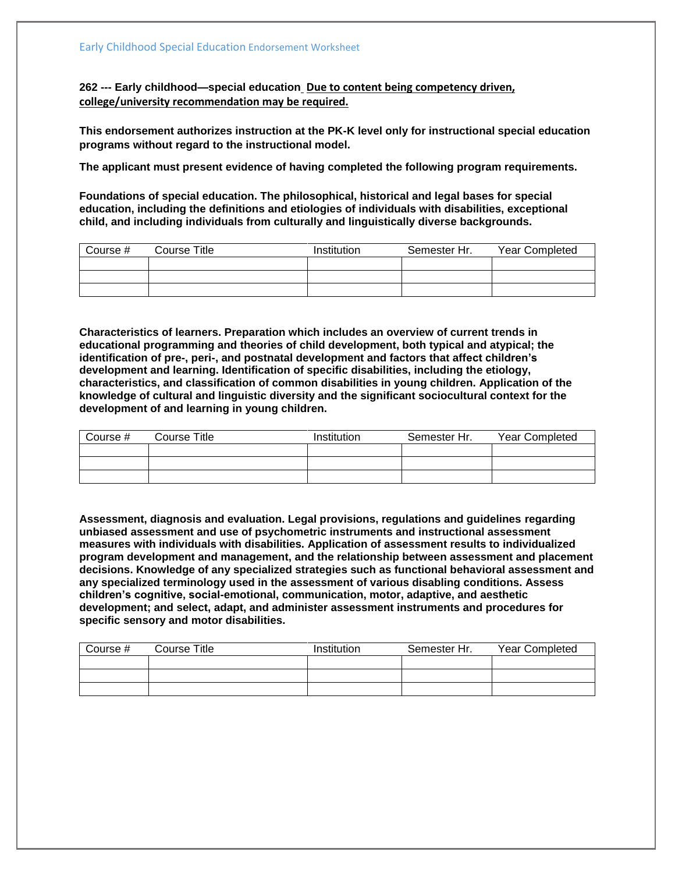**262 --- Early childhood—special education Due to content being competency driven, college/university recommendation may be required.** 

**This endorsement authorizes instruction at the PK-K level only for instructional special education programs without regard to the instructional model.**

**The applicant must present evidence of having completed the following program requirements.**

**Foundations of special education. The philosophical, historical and legal bases for special education, including the definitions and etiologies of individuals with disabilities, exceptional child, and including individuals from culturally and linguistically diverse backgrounds.**

| Course # | Course Title | Institution | Semester Hr. | Year Completed |
|----------|--------------|-------------|--------------|----------------|
|          |              |             |              |                |
|          |              |             |              |                |
|          |              |             |              |                |

**Characteristics of learners. Preparation which includes an overview of current trends in educational programming and theories of child development, both typical and atypical; the identification of pre-, peri-, and postnatal development and factors that affect children's development and learning. Identification of specific disabilities, including the etiology, characteristics, and classification of common disabilities in young children. Application of the knowledge of cultural and linguistic diversity and the significant sociocultural context for the development of and learning in young children.** 

| Course # | Course Title | Institution | Semester Hr. | Year Completed |
|----------|--------------|-------------|--------------|----------------|
|          |              |             |              |                |
|          |              |             |              |                |
|          |              |             |              |                |

**Assessment, diagnosis and evaluation. Legal provisions, regulations and guidelines regarding unbiased assessment and use of psychometric instruments and instructional assessment measures with individuals with disabilities. Application of assessment results to individualized program development and management, and the relationship between assessment and placement decisions. Knowledge of any specialized strategies such as functional behavioral assessment and any specialized terminology used in the assessment of various disabling conditions. Assess children's cognitive, social-emotional, communication, motor, adaptive, and aesthetic development; and select, adapt, and administer assessment instruments and procedures for specific sensory and motor disabilities.**

| Course # | Course Title | Institution | Semester Hr. | Year Completed |
|----------|--------------|-------------|--------------|----------------|
|          |              |             |              |                |
|          |              |             |              |                |
|          |              |             |              |                |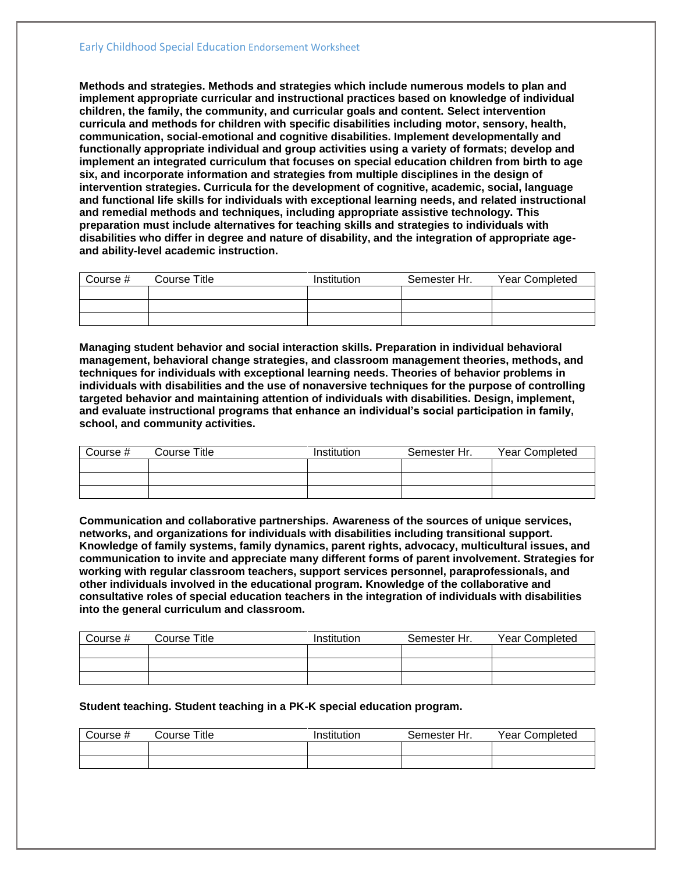**Methods and strategies. Methods and strategies which include numerous models to plan and implement appropriate curricular and instructional practices based on knowledge of individual children, the family, the community, and curricular goals and content. Select intervention curricula and methods for children with specific disabilities including motor, sensory, health, communication, social-emotional and cognitive disabilities. Implement developmentally and functionally appropriate individual and group activities using a variety of formats; develop and implement an integrated curriculum that focuses on special education children from birth to age six, and incorporate information and strategies from multiple disciplines in the design of intervention strategies. Curricula for the development of cognitive, academic, social, language and functional life skills for individuals with exceptional learning needs, and related instructional and remedial methods and techniques, including appropriate assistive technology. This preparation must include alternatives for teaching skills and strategies to individuals with disabilities who differ in degree and nature of disability, and the integration of appropriate ageand ability-level academic instruction.**

| Course # | Course Title | Institution | Semester Hr. | Year Completed |
|----------|--------------|-------------|--------------|----------------|
|          |              |             |              |                |
|          |              |             |              |                |
|          |              |             |              |                |

**Managing student behavior and social interaction skills. Preparation in individual behavioral management, behavioral change strategies, and classroom management theories, methods, and techniques for individuals with exceptional learning needs. Theories of behavior problems in individuals with disabilities and the use of nonaversive techniques for the purpose of controlling targeted behavior and maintaining attention of individuals with disabilities. Design, implement, and evaluate instructional programs that enhance an individual's social participation in family, school, and community activities.** 

| Course # | Course Title | Institution | Semester Hr. | Year Completed |
|----------|--------------|-------------|--------------|----------------|
|          |              |             |              |                |
|          |              |             |              |                |
|          |              |             |              |                |

**Communication and collaborative partnerships. Awareness of the sources of unique services, networks, and organizations for individuals with disabilities including transitional support. Knowledge of family systems, family dynamics, parent rights, advocacy, multicultural issues, and communication to invite and appreciate many different forms of parent involvement. Strategies for working with regular classroom teachers, support services personnel, paraprofessionals, and other individuals involved in the educational program. Knowledge of the collaborative and consultative roles of special education teachers in the integration of individuals with disabilities into the general curriculum and classroom.**

| Course # | Course Title | Institution | Semester Hr. | <b>Year Completed</b> |
|----------|--------------|-------------|--------------|-----------------------|
|          |              |             |              |                       |
|          |              |             |              |                       |
|          |              |             |              |                       |

## **Student teaching. Student teaching in a PK-K special education program.**

| こourse # | Title<br>$\mathsf{\sim}$ ourse $\mathsf{\sim}$ | Institution | Semester Hr. | Year Completed |
|----------|------------------------------------------------|-------------|--------------|----------------|
|          |                                                |             |              |                |
|          |                                                |             |              |                |